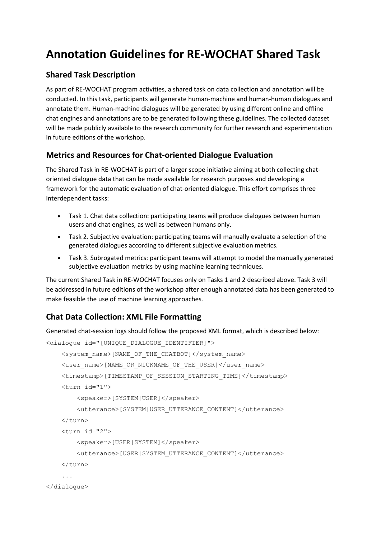# **Annotation Guidelines for RE-WOCHAT Shared Task**

## **Shared Task Description**

As part of RE-WOCHAT program activities, a shared task on data collection and annotation will be conducted. In this task, participants will generate human-machine and human-human dialogues and annotate them. Human-machine dialogues will be generated by using different online and offline chat engines and annotations are to be generated following these guidelines. The collected dataset will be made publicly available to the research community for further research and experimentation in future editions of the workshop.

# **Metrics and Resources for Chat-oriented Dialogue Evaluation**

The Shared Task in RE-WOCHAT is part of a larger scope initiative aiming at both collecting chatoriented dialogue data that can be made available for research purposes and developing a framework for the automatic evaluation of chat-oriented dialogue. This effort comprises three interdependent tasks:

- Task 1. Chat data collection: participating teams will produce dialogues between human users and chat engines, as well as between humans only.
- Task 2. Subjective evaluation: participating teams will manually evaluate a selection of the generated dialogues according to different subjective evaluation metrics.
- Task 3. Subrogated metrics: participant teams will attempt to model the manually generated subjective evaluation metrics by using machine learning techniques.

The current Shared Task in RE-WOCHAT focuses only on Tasks 1 and 2 described above. Task 3 will be addressed in future editions of the workshop after enough annotated data has been generated to make feasible the use of machine learning approaches.

# **Chat Data Collection: XML File Formatting**

Generated chat-session logs should follow the proposed XML format, which is described below:

```
<dialogue id="[UNIQUE_DIALOGUE_IDENTIFIER]">
     <system_name>[NAME_OF_THE_CHATBOT]</system_name>
     <user_name>[NAME_OR_NICKNAME_OF_THE_USER]</user_name>
     <timestamp>[TIMESTAMP_OF_SESSION_STARTING_TIME]</timestamp>
     <turn id="1">
         <speaker>[SYSTEM|USER]</speaker>
         <utterance>[SYSTEM|USER_UTTERANCE_CONTENT]</utterance>
    \langle/turn\rangle <turn id="2">
         <speaker>[USER|SYSTEM]</speaker>
         <utterance>[USER|SYSTEM_UTTERANCE_CONTENT]</utterance>
     </turn>
     ...
</dialogue>
```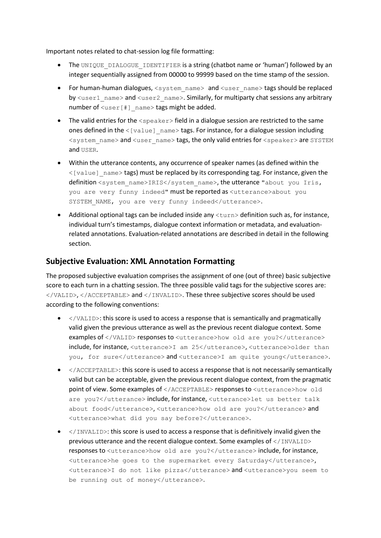Important notes related to chat-session log file formatting:

- The UNIQUE DIALOGUE IDENTIFIER is a string (chatbot name or 'human') followed by an integer sequentially assigned from 00000 to 99999 based on the time stamp of the session.
- For human-human dialogues,  $\langle$ system\_name $\rangle$  and  $\langle$ user\_name $\rangle$  tags should be replaced by  $\langle$ user1\_name> and  $\langle$ user2\_name>. Similarly, for multiparty chat sessions any arbitrary number of  $\langle user|$  name> tags might be added.
- The valid entries for the <speaker> field in a dialogue session are restricted to the same ones defined in the  $\leq$  [value] name> tags. For instance, for a dialogue session including <system\_name> and <user\_name> tags, the only valid entries for <speaker> are SYSTEM and USER.
- Within the utterance contents, any occurrence of speaker names (as defined within the  $\langle$ [value] name> tags) must be replaced by its corresponding tag. For instance, given the definition <system\_name>IRIS</system\_name>, the utterance "about you Iris, you are very funny indeed" must be reported as <utterance>about you SYSTEM NAME, you are very funny indeed</utterance>.
- Additional optional tags can be included inside any  $\tt <sub>turn</sub>$  definition such as, for instance, individual turn's timestamps, dialogue context information or metadata, and evaluationrelated annotations. Evaluation-related annotations are described in detail in the following section.

#### **Subjective Evaluation: XML Annotation Formatting**

The proposed subjective evaluation comprises the assignment of one (out of three) basic subjective score to each turn in a chatting session. The three possible valid tags for the subjective scores are: </VALID>, </ACCEPTABLE> and </INVALID>. These three subjective scores should be used according to the following conventions:

- </VALID>: this score is used to access a response that is semantically and pragmatically valid given the previous utterance as well as the previous recent dialogue context. Some examples of </VALID> responses to <utterance>how old are you?</utterance> include, for instance, <utterance>I am 25</utterance>, <utterance>older than you, for sure</utterance> and <utterance>I am quite young</utterance>.
- </ACCEPTABLE>: this score is used to access a response that is not necessarily semantically valid but can be acceptable, given the previous recent dialogue context, from the pragmatic point of view. Some examples of </ACCEPTABLE> responses to <utterance>how old are you?</utterance> include, for instance, <utterance>let us better talk about food</utterance>, <utterance>how old are you?</utterance> and <utterance>what did you say before?</utterance>.
- </INVALID>: this score is used to access a response that is definitively invalid given the previous utterance and the recent dialogue context. Some examples of </INVALID> responses to <utterance>how old are you?</utterance> include, for instance, <utterance>he goes to the supermarket every Saturday</utterance>, <utterance>I do not like pizza</utterance> and <utterance>you seem to be running out of money</utterance>.